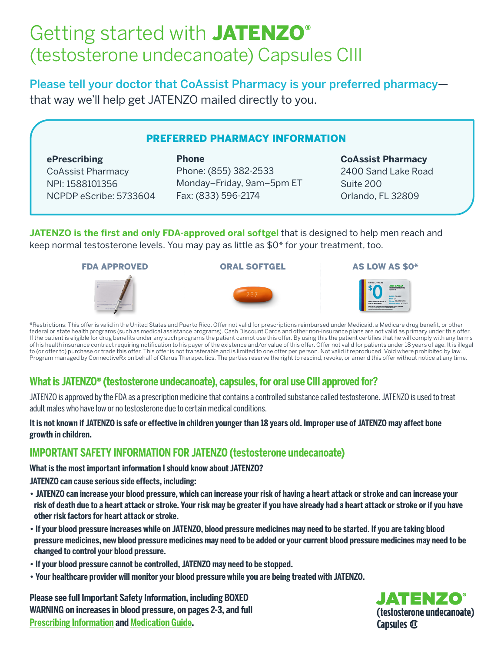# Getting started with JATENZO<sup>®</sup> (testosterone undecanoate) Capsules CIII

**Phone**

Please tell your doctor that CoAssist Pharmacy is your preferred pharmacy that way we'll help get JATENZO mailed directly to you.

#### PREFERRED PHARMACY INFORMATION

#### **ePrescribing** CoAssist Pharmacy NPI: 1588101356

NCPDP eScribe: 5733604

Phone: (855) 382-2533 Monday–Friday, 9am–5pm ET Fax: (833) 596-2174

#### **CoAssist Pharmacy**

2400 Sand Lake Road Suite 200 Orlando, FL 32809

**JATENZO is the first and only FDA-approved oral softgel** that is designed to help men reach and keep normal testosterone levels. You may pay as little as \$0\* for your treatment, too.



FDA APPROVED **ORAL SOFTGEL** AS LOW AS \$0<sup>\*</sup>





\*Restrictions: This offer is valid in the United States and Puerto Rico. Offer not valid for prescriptions reimbursed under Medicaid, a Medicare drug benefit, or other federal or state health programs (such as medical assistance programs). Cash Discount Cards and other non-insurance plans are not valid as primary under this offer. If the patient is eligible for drug benefits under any such programs the patient cannot use this offer. By using this the patient certifies that he will comply with any terms of his health insurance contract requiring notification to his payer of the existence and/or value of this offer. Offer not valid for patients under 18 years of age. It is illegal to (or offer to) purchase or trade this offer. This offer is not transferable and is limited to one offer per person. Not valid if reproduced. Void where prohibited by law. Program managed by ConnectiveRx on behalf of Clarus Therapeutics. The parties reserve the right to rescind, revoke, or amend this offer without notice at any time.

# **What is JATENZO® (testosterone undecanoate), capsules, for oral use CIII approved for?**

JATENZO is approved by the FDA as a prescription medicine that contains a controlled substance called testosterone. JATENZO is used to treat adult males who have low or no testosterone due to certain medical conditions.

#### **It is not known if JATENZO is safe or effective in children younger than 18 years old. Improper use of JATENZO may affect bone growth in children.**

# **IMPORTANT SAFETY INFORMATION FOR JATENZO (testosterone undecanoate)**

**What is the most important information I should know about JATENZO?**

**JATENZO can cause serious side effects, including:**

- **JATENZO can increase your blood pressure, which can increase your risk of having a heart attack or stroke and can increase your risk of death due to a heart attack or stroke. Your risk may be greater if you have already had a heart attack or stroke or if you have other risk factors for heart attack or stroke.**
- **If your blood pressure increases while on JATENZO, blood pressure medicines may need to be started. If you are taking blood pressure medicines, new blood pressure medicines may need to be added or your current blood pressure medicines may need to be changed to control your blood pressure.**
- **If your blood pressure cannot be controlled, JATENZO may need to be stopped.**
- **Your healthcare provider will monitor your blood pressure while you are being treated with JATENZO.**

**Please see full Important Safety Information, including BOXED WARNING on increases in blood pressure, on pages 2-3, and full Prescribing Information and Medication Guide.**

JATENZO® (testosterone undecanoate) Capsules @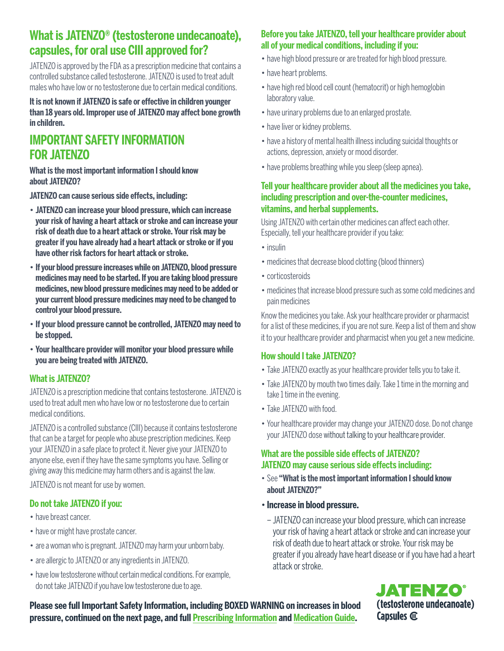# **What is JATENZO® (testosterone undecanoate), capsules, for oral use CIII approved for?**

JATENZO is approved by the FDA as a prescription medicine that contains a controlled substance called testosterone. JATENZO is used to treat adult males who have low or no testosterone due to certain medical conditions.

#### **It is not known if JATENZO is safe or effective in children younger than 18 years old. Improper use of JATENZO may affect bone growth in children.**

# **IMPORTANT SAFETY INFORMATION FOR JATENZO**

**What is the most important information I should know about JATENZO?**

**JATENZO can cause serious side effects, including:** 

- **JATENZO can increase your blood pressure, which can increase your risk of having a heart attack or stroke and can increase your risk of death due to a heart attack or stroke. Your risk may be greater if you have already had a heart attack or stroke or if you have other risk factors for heart attack or stroke.**
- **If your blood pressure increases while on JATENZO, blood pressure medicines may need to be started. If you are taking blood pressure medicines, new blood pressure medicines may need to be added or your current blood pressure medicines may need to be changed to control your blood pressure.**
- **If your blood pressure cannot be controlled, JATENZO may need to be stopped.**
- **Your healthcare provider will monitor your blood pressure while you are being treated with JATENZO.**

## **What is JATENZO?**

JATENZO is a prescription medicine that contains testosterone. JATENZO is used to treat adult men who have low or no testosterone due to certain medical conditions.

JATENZO is a controlled substance (CIII) because it contains testosterone that can be a target for people who abuse prescription medicines. Keep your JATENZO in a safe place to protect it. Never give your JATENZO to anyone else, even if they have the same symptoms you have. Selling or giving away this medicine may harm others and is against the law.

JATENZO is not meant for use by women.

## **Do not take JATENZO if you:**

- have breast cancer.
- have or might have prostate cancer.
- are a woman who is pregnant. JATENZO may harm your unborn baby.
- are allergic to JATENZO or any ingredients in JATENZO.
- have low testosterone without certain medical conditions. For example, do not take JATENZO if you have low testosterone due to age.

#### **Before you take JATENZO, tell your healthcare provider about all of your medical conditions, including if you:**

- have high blood pressure or are treated for high blood pressure.
- have heart problems.
- have high red blood cell count (hematocrit) or high hemoglobin laboratory value.
- have urinary problems due to an enlarged prostate.
- have liver or kidney problems.
- have a history of mental health illness including suicidal thoughts or actions, depression, anxiety or mood disorder.
- have problems breathing while you sleep (sleep apnea).

#### **Tell your healthcare provider about all the medicines you take, including prescription and over-the-counter medicines, vitamins, and herbal supplements.**

Using JATENZO with certain other medicines can affect each other. Especially, tell your healthcare provider if you take:

- insulin
- medicines that decrease blood clotting (blood thinners)
- corticosteroids
- medicines that increase blood pressure such as some cold medicines and pain medicines

Know the medicines you take. Ask your healthcare provider or pharmacist for a list of these medicines, if you are not sure. Keep a list of them and show it to your healthcare provider and pharmacist when you get a new medicine.

## **How should I take JATENZO?**

- Take JATENZO exactly as your healthcare provider tells you to take it.
- Take JATENZO by mouth two times daily. Take 1 time in the morning and take 1 time in the evening.
- Take JATENZO with food.
- Your healthcare provider may change your JATENZO dose. Do not change your JATENZO dose without talking to your healthcare provider.

# **What are the possible side effects of JATENZO? JATENZO may cause serious side effects including:**

- See **"What is the most important information I should know about JATENZO?"**
- **Increase in blood pressure.**
- JATENZO can increase your blood pressure, which can increase your risk of having a heart attack or stroke and can increase your risk of death due to heart attack or stroke. Your risk may be greater if you already have heart disease or if you have had a heart attack or stroke.



**Please see full Important Safety Information, including BOXED WARNING on increases in blood pressure, continued on the next page, and full Prescribing Information and Medication Guide.**